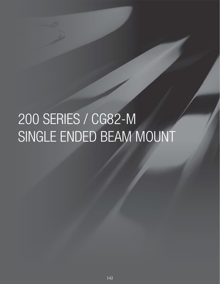# 200 SERIES / CG82-M SINGLE ENDED BEAM MOUNT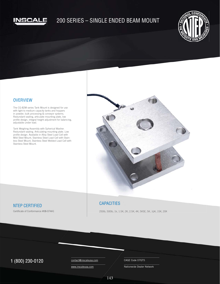

# 200 SERIES – SINGLE ENDED BEAM MOUNT



## **OVERVIEW**

The CG-82M series Tank Mount is designed for use with light to medium capacity tanks and hoppers in powder, bulk processing & conveyor systems. Redundant sealing, articulate mounting plate, low profile design, integral height adjustment for balancing, adjustable under load.

Tank Weighing Assembly with Spherical Washer. Redundant sealing. Articulating mounting plate. Low profile design. Available in Alloy Steel Load Cell with Mild Steel Mount, Stainless Steel Load Cell with Stainless Steel Mount, Stainless Steel Welded Load Cell with Stainless Steel Mount.



# NTEP CERTIFIED

Certificate of Conformance #08-074A1

# **CAPACITIES**

250lb, 500lb, 1k, 1.5K, 2K, 2.5K, 4K, 5KSE, 5K, 10K, 15K, 20K

# 1 (800) 230-0120 Contact@inscaleusa.com CAGE Code 07GT5

contact@inscaleusa.com www.inscaleusa.com

Nationwide Dealer Network

143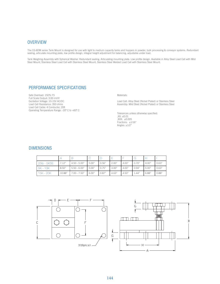#### **OVERVIEW**

The CG-82M series Tank Mount is designed for use with light to medium capacity tanks and hoppers in powder, bulk processing & conveyor systems. Redundant sealing, articulate mounting plate, low profile design, integral height adjustment for balancing, adjustable under load.

Tank Weighing Assembly with Spherical Washer. Redundant sealing. Articulating mounting plate. Low profile design. Available in Alloy Steel Load Cell with Mild Steel Mount, Stainless Steel Load Cell with Stainless Steel Mount, Stainless Steel Welded Load Cell with Stainless Steel Mount.

## PERFORMANCE SPECIFICATIONS

Safe Overload: 150% FS Full Scale Output: 3.00 mV/V Excitation Voltage: 10-15V AC/DC Load Cell Resistance: 350 ohms Load Cell Cable: 4 Conductor, 20ft Operating Temperature Range: -20º C to +60º C Materials:

Load Cell: Alloy Steel (Nickel Plated) or Stainless Steel Assembly: Mild Steel (Nickel Plated) or Stainless Steel

Tolerances unless otherwise specified: .XX: ±0.01 .XXX: ±0.005 Fractions: ±1/16" Angles:  $\pm 1/2$ "

#### DIMENSIONS

| 25lb - 5KSE | 7.12"  | $4.50 - 5.00"$ | 5.00" | 0.56" | 2.00" | 4.00" | 0.70" | 4.00" | 0.63" |
|-------------|--------|----------------|-------|-------|-------|-------|-------|-------|-------|
| $5K - 10K$  | 8.50"  | $5.50 - 6.00"$ | 5.00" | 0.75" | 3.00" | 4.00" | 0.94" | 5.00" | 0.63" |
| 15K - 20K   | 10.88" | $7.00 - 7.50"$ | 6.00" | 0.87" | 4.63" | 4.50" | 1.44" | 6.88" | 0.88" |